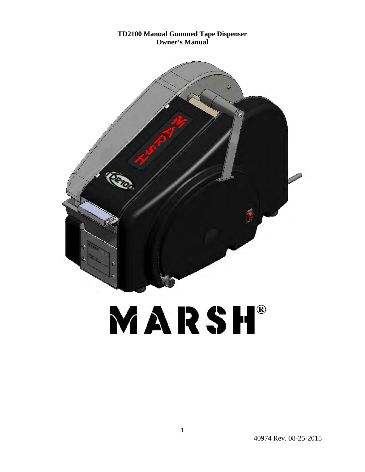#### **TD2100 Manual Gummed Tape Dispenser Owner's Manual**



# MARSH®

40974 Rev. 08-25-2015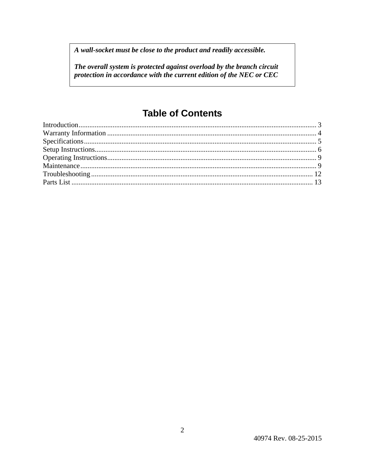A wall-socket must be close to the product and readily accessible.

The overall system is protected against overload by the branch circuit protection in accordance with the current edition of the NEC or CEC

# **Table of Contents**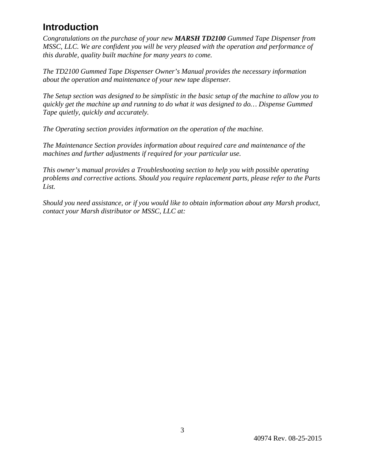## **Introduction**

*Congratulations on the purchase of your new MARSH TD2100 Gummed Tape Dispenser from MSSC, LLC. We are confident you will be very pleased with the operation and performance of this durable, quality built machine for many years to come.* 

*The TD2100 Gummed Tape Dispenser Owner's Manual provides the necessary information about the operation and maintenance of your new tape dispenser.* 

*The Setup section was designed to be simplistic in the basic setup of the machine to allow you to quickly get the machine up and running to do what it was designed to do… Dispense Gummed Tape quietly, quickly and accurately.* 

*The Operating section provides information on the operation of the machine.* 

*The Maintenance Section provides information about required care and maintenance of the machines and further adjustments if required for your particular use.* 

*This owner's manual provides a Troubleshooting section to help you with possible operating problems and corrective actions. Should you require replacement parts, please refer to the Parts List.* 

*Should you need assistance, or if you would like to obtain information about any Marsh product, contact your Marsh distributor or MSSC, LLC at:*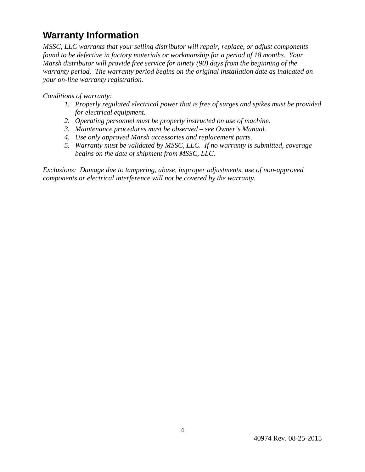## **Warranty Information**

*MSSC, LLC warrants that your selling distributor will repair, replace, or adjust components found to be defective in factory materials or workmanship for a period of 18 months. Your Marsh distributor will provide free service for ninety (90) days from the beginning of the warranty period. The warranty period begins on the original installation date as indicated on your on-line warranty registration.* 

*Conditions of warranty:* 

- *1. Properly regulated electrical power that is free of surges and spikes must be provided for electrical equipment.*
- *2. Operating personnel must be properly instructed on use of machine.*
- *3. Maintenance procedures must be observed see Owner's Manual.*
- *4. Use only approved Marsh accessories and replacement parts.*
- *5. Warranty must be validated by MSSC, LLC. If no warranty is submitted, coverage begins on the date of shipment from MSSC, LLC.*

*Exclusions: Damage due to tampering, abuse, improper adjustments, use of non-approved components or electrical interference will not be covered by the warranty.*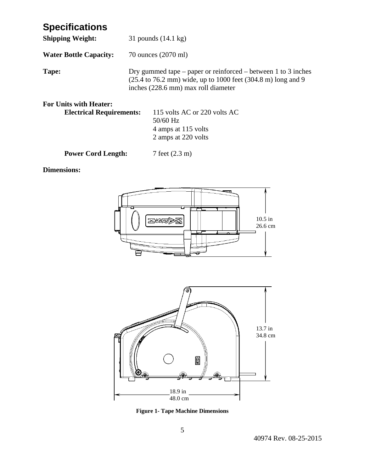## **Specifications**

| <b>Shipping Weight:</b>                                          | 31 pounds $(14.1 \text{ kg})$                                                                                                                                        |  |  |
|------------------------------------------------------------------|----------------------------------------------------------------------------------------------------------------------------------------------------------------------|--|--|
| <b>Water Bottle Capacity:</b>                                    | 70 ounces (2070 ml)                                                                                                                                                  |  |  |
| Tape:                                                            | Dry gummed tape – paper or reinforced – between 1 to 3 inches<br>(25.4 to 76.2 mm) wide, up to 1000 feet (304.8 m) long and 9<br>inches (228.6 mm) max roll diameter |  |  |
| <b>For Units with Heater:</b><br><b>Electrical Requirements:</b> | 115 volts AC or 220 volts AC<br>50/60 Hz<br>4 amps at 115 volts                                                                                                      |  |  |

2 amps at 220 volts

**Power Cord Length:** 7 feet (2.3 m)

#### **Dimensions:**





**Figure 1- Tape Machine Dimensions**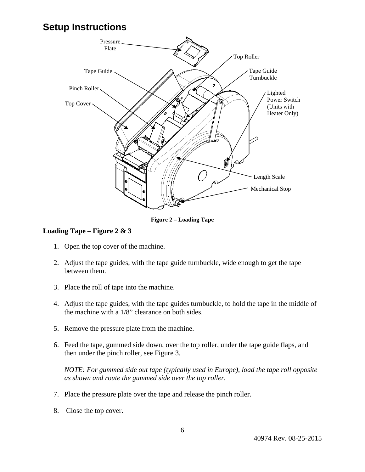## **Setup Instructions**



**Figure 2 – Loading Tape** 

#### **Loading Tape – Figure 2 & 3**

- 1. Open the top cover of the machine.
- 2. Adjust the tape guides, with the tape guide turnbuckle, wide enough to get the tape between them.
- 3. Place the roll of tape into the machine.
- 4. Adjust the tape guides, with the tape guides turnbuckle, to hold the tape in the middle of the machine with a 1/8" clearance on both sides.
- 5. Remove the pressure plate from the machine.
- 6. Feed the tape, gummed side down, over the top roller, under the tape guide flaps, and then under the pinch roller, see Figure 3.

*NOTE: For gummed side out tape (typically used in Europe), load the tape roll opposite as shown and route the gummed side over the top roller.*

- 7. Place the pressure plate over the tape and release the pinch roller.
- 8. Close the top cover.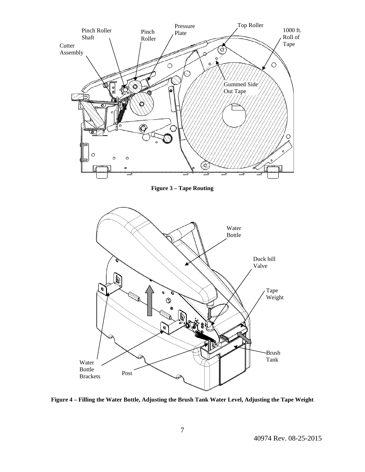

**Figure 3 – Tape Routing** 



**Figure 4 – Filling the Water Bottle, Adjusting the Brush Tank Water Level, Adjusting the Tape Weight**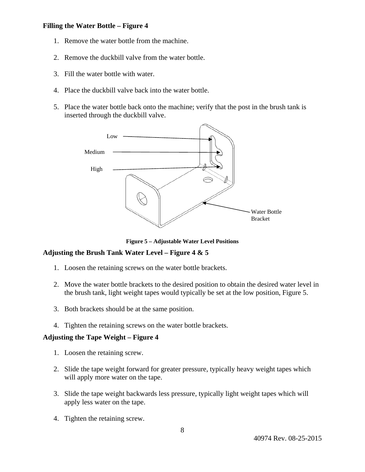#### **Filling the Water Bottle – Figure 4**

- 1. Remove the water bottle from the machine.
- 2. Remove the duckbill valve from the water bottle.
- 3. Fill the water bottle with water.
- 4. Place the duckbill valve back into the water bottle.
- 5. Place the water bottle back onto the machine; verify that the post in the brush tank is inserted through the duckbill valve.



**Figure 5 – Adjustable Water Level Positions** 

#### **Adjusting the Brush Tank Water Level – Figure 4 & 5**

- 1. Loosen the retaining screws on the water bottle brackets.
- 2. Move the water bottle brackets to the desired position to obtain the desired water level in the brush tank, light weight tapes would typically be set at the low position, Figure 5.
- 3. Both brackets should be at the same position.
- 4. Tighten the retaining screws on the water bottle brackets.

#### **Adjusting the Tape Weight – Figure 4**

- 1. Loosen the retaining screw.
- 2. Slide the tape weight forward for greater pressure, typically heavy weight tapes which will apply more water on the tape.
- 3. Slide the tape weight backwards less pressure, typically light weight tapes which will apply less water on the tape.
- 4. Tighten the retaining screw.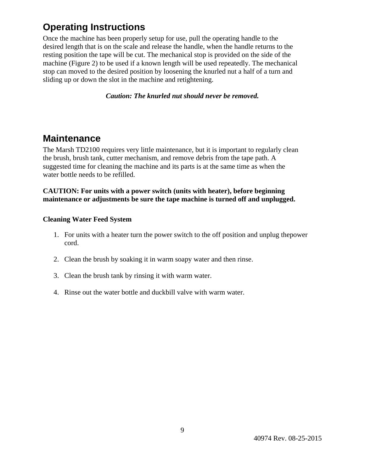## **Operating Instructions**

Once the machine has been properly setup for use, pull the operating handle to the desired length that is on the scale and release the handle, when the handle returns to the resting position the tape will be cut. The mechanical stop is provided on the side of the machine (Figure 2) to be used if a known length will be used repeatedly. The mechanical stop can moved to the desired position by loosening the knurled nut a half of a turn and sliding up or down the slot in the machine and retightening.

*Caution: The knurled nut should never be removed.* 

## **Maintenance**

The Marsh TD2100 requires very little maintenance, but it is important to regularly clean the brush, brush tank, cutter mechanism, and remove debris from the tape path. A suggested time for cleaning the machine and its parts is at the same time as when the water bottle needs to be refilled.

#### **CAUTION: For units with a power switch (units with heater), before beginning maintenance or adjustments be sure the tape machine is turned off and unplugged.**

#### **Cleaning Water Feed System**

- 1. For units with a heater turn the power switch to the off position and unplug thepower cord.
- 2. Clean the brush by soaking it in warm soapy water and then rinse.
- 3. Clean the brush tank by rinsing it with warm water.
- 4. Rinse out the water bottle and duckbill valve with warm water.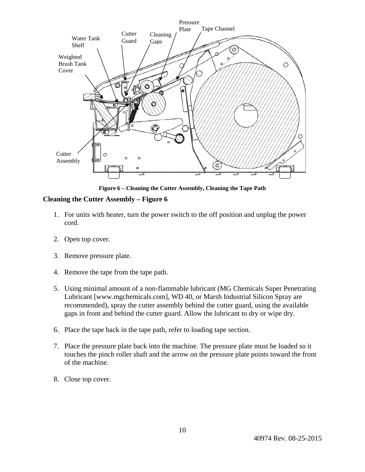

**Figure 6 – Cleaning the Cutter Assembly, Cleaning the Tape Path** 

#### **Cleaning the Cutter Assembly – Figure 6**

- 1. For units with heater, turn the power switch to the off position and unplug the power cord.
- 2. Open top cover.
- 3. Remove pressure plate.
- 4. Remove the tape from the tape path.
- 5. Using minimal amount of a non-flammable lubricant (MG Chemicals Super Penetrating Lubricant [www.mgchemicals.com], WD 40, or Marsh Industrial Silicon Spray are recommended), spray the cutter assembly behind the cutter guard, using the available gaps in front and behind the cutter guard. Allow the lubricant to dry or wipe dry.
- 6. Place the tape back in the tape path, refer to loading tape section.
- 7. Place the pressure plate back into the machine. The pressure plate must be loaded so it touches the pinch roller shaft and the arrow on the pressure plate points toward the front of the machine.
- 8. Close top cover.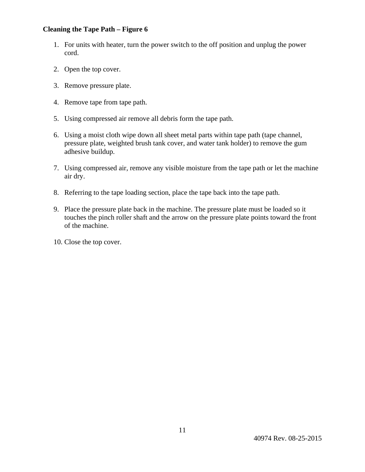#### **Cleaning the Tape Path – Figure 6**

- 1. For units with heater, turn the power switch to the off position and unplug the power cord.
- 2. Open the top cover.
- 3. Remove pressure plate.
- 4. Remove tape from tape path.
- 5. Using compressed air remove all debris form the tape path.
- 6. Using a moist cloth wipe down all sheet metal parts within tape path (tape channel, pressure plate, weighted brush tank cover, and water tank holder) to remove the gum adhesive buildup.
- 7. Using compressed air, remove any visible moisture from the tape path or let the machine air dry.
- 8. Referring to the tape loading section, place the tape back into the tape path.
- 9. Place the pressure plate back in the machine. The pressure plate must be loaded so it touches the pinch roller shaft and the arrow on the pressure plate points toward the front of the machine.
- 10. Close the top cover.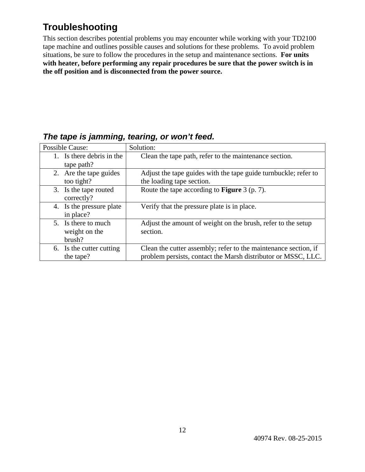## **Troubleshooting**

This section describes potential problems you may encounter while working with your TD2100 tape machine and outlines possible causes and solutions for these problems. To avoid problem situations, be sure to follow the procedures in the setup and maintenance sections. **For units with heater, before performing any repair procedures be sure that the power switch is in the off position and is disconnected from the power source.**

|                                                | --                                                                                                                               |
|------------------------------------------------|----------------------------------------------------------------------------------------------------------------------------------|
| Possible Cause:                                | Solution:                                                                                                                        |
| 1. Is there debris in the<br>tape path?        | Clean the tape path, refer to the maintenance section.                                                                           |
| 2. Are the tape guides<br>too tight?           | Adjust the tape guides with the tape guide turnbuckle; refer to<br>the loading tape section.                                     |
| 3. Is the tape routed<br>correctly?            | Route the tape according to <b>Figure</b> 3 (p. 7).                                                                              |
| 4. Is the pressure plate<br>in place?          | Verify that the pressure plate is in place.                                                                                      |
| 5. Is there to much<br>weight on the<br>brush? | Adjust the amount of weight on the brush, refer to the setup<br>section.                                                         |
| 6. Is the cutter cutting<br>the tape?          | Clean the cutter assembly; refer to the maintenance section, if<br>problem persists, contact the Marsh distributor or MSSC, LLC. |

### *The tape is jamming, tearing, or won't feed.*